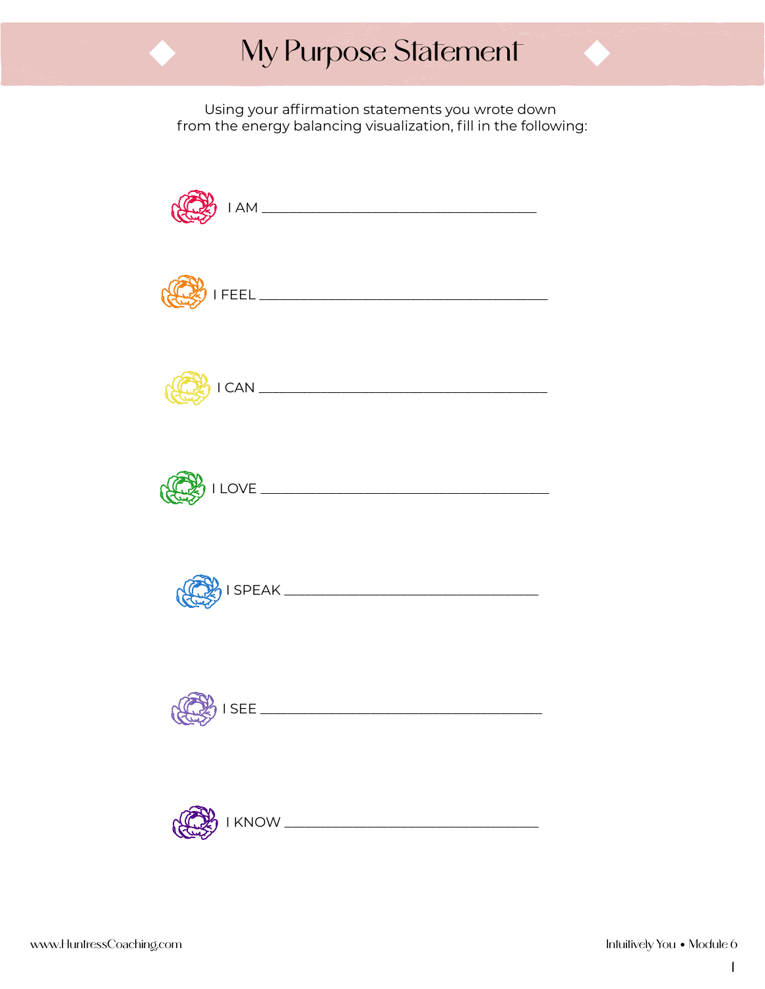## My Purpose Statement

Using your affirmation statements you wrote down from the energy balancing visualization, fill in the following:

| $1AM$ $\overline{\phantom{a}}$ |  |
|--------------------------------|--|
|                                |  |
|                                |  |
|                                |  |
|                                |  |
|                                |  |
|                                |  |